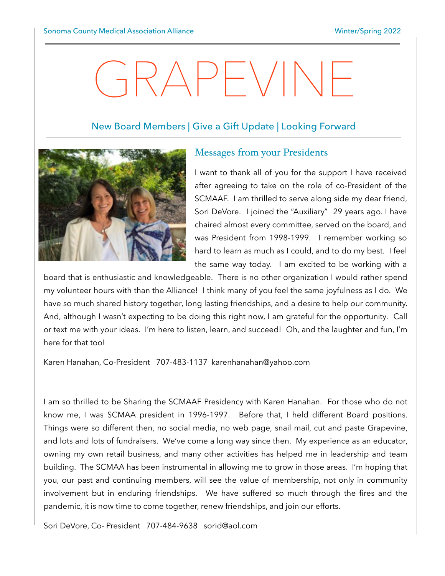# GRAPEVINE

## New Board Members | Give a Gift Update | Looking Forward



#### Messages from your Presidents

I want to thank all of you for the support I have received after agreeing to take on the role of co-President of the SCMAAF. I am thrilled to serve along side my dear friend, Sori DeVore. I joined the "Auxiliary" 29 years ago. I have chaired almost every committee, served on the board, and was President from 1998-1999. I remember working so hard to learn as much as I could, and to do my best. I feel the same way today. I am excited to be working with a

board that is enthusiastic and knowledgeable. There is no other organization I would rather spend my volunteer hours with than the Alliance! I think many of you feel the same joyfulness as I do. We have so much shared history together, long lasting friendships, and a desire to help our community. And, although I wasn't expecting to be doing this right now, I am grateful for the opportunity. Call or text me with your ideas. I'm here to listen, learn, and succeed! Oh, and the laughter and fun, I'm here for that too!

Karen Hanahan, Co-President 707-483-1137 karenhanahan@yahoo.com

I am so thrilled to be Sharing the SCMAAF Presidency with Karen Hanahan. For those who do not know me, I was SCMAA president in 1996-1997. Before that, I held different Board positions. Things were so different then, no social media, no web page, snail mail, cut and paste Grapevine, and lots and lots of fundraisers. We've come a long way since then. My experience as an educator, owning my own retail business, and many other activities has helped me in leadership and team building. The SCMAA has been instrumental in allowing me to grow in those areas. I'm hoping that you, our past and continuing members, will see the value of membership, not only in community involvement but in enduring friendships. We have suffered so much through the fires and the pandemic, it is now time to come together, renew friendships, and join our efforts.

Sori DeVore, Co- President 707-484-9638 sorid@aol.com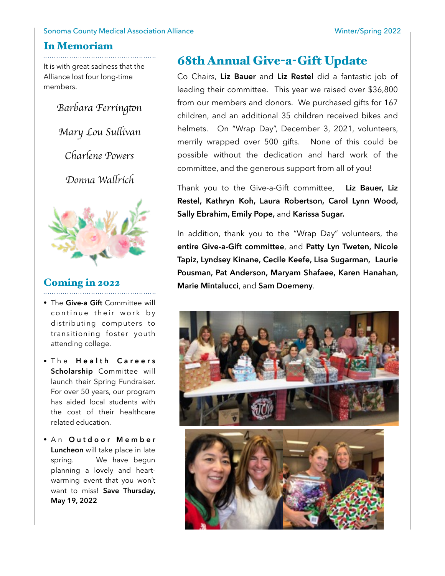#### Sonoma County Medical Association Alliance **Winter/Spring 2022**

#### In Memoriam

It is with great sadness that the Alliance lost four long-time members.

*Barbara Ferring*t*n*

*Mary Lou Su*l*ivan*

*Charlene Powers*

*Donna Wa*l*rich*



# Coming in 2022

- The **Give-a Gift** Committee will continue their work by distributing computers to transitioning foster youth attending college.
- $\bullet$  The **Health Careers Scholarship** Committee will launch their Spring Fundraiser. For over 50 years, our program has aided local students with the cost of their healthcare related education.
- A n **O u t d o o r M e m b e r Luncheon** will take place in late spring. We have begun planning a lovely and heartwarming event that you won't want to miss! **Save Thursday, May 19, 2022**

# 68th Annual Give-a-Gift Update

Co Chairs, **Liz Bauer** and **Liz Restel** did a fantastic job of leading their committee. This year we raised over \$36,800 from our members and donors. We purchased gifts for 167 children, and an additional 35 children received bikes and helmets. On "Wrap Day", December 3, 2021, volunteers, merrily wrapped over 500 gifts. None of this could be possible without the dedication and hard work of the committee, and the generous support from all of you!

Thank you to the Give-a-Gift committee, **Liz Bauer, Liz Restel, Kathryn Koh, Laura Robertson, Carol Lynn Wood, Sally Ebrahim, Emily Pope,** and **Karissa Sugar.** 

In addition, thank you to the "Wrap Day" volunteers, the **entire Give-a-Gift committee**, and **Patty Lyn Tweten, Nicole Tapiz, Lyndsey Kinane, Cecile Keefe, Lisa Sugarman, Laurie Pousman, Pat Anderson, Maryam Shafaee, Karen Hanahan, Marie Mintalucci**, and **Sam Doemeny**.

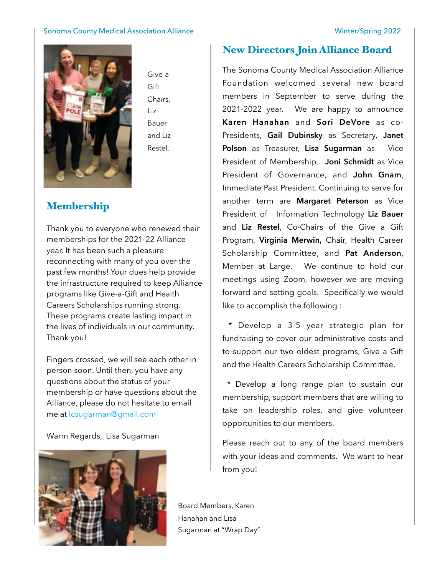#### Sonoma County Medical Association Alliance **Winter/Spring 2022**



Give-a-Gift Chairs, Liz Bauer and Liz Restel.

# Membership

Thank you to everyone who renewed their memberships for the 2021-22 Alliance year. It has been such a pleasure reconnecting with many of you over the past few months! Your dues help provide the infrastructure required to keep Alliance programs like Give-a-Gift and Health Careers Scholarships running strong. These programs create lasting impact in the lives of individuals in our community. Thank you!

Fingers crossed, we will see each other in person soon. Until then, you have any questions about the status of your membership or have questions about the Alliance, please do not hesitate to email me at [lcsugarman@gmail.com](mailto:lcsugarman@gmail.com)

#### Warm Regards, Lisa Sugarman



#### New Directors Join Alliance Board

The Sonoma County Medical Association Alliance Foundation welcomed several new board members in September to serve during the 2021-2022 year. We are happy to announce **Karen Hanahan** and **Sori DeVore** as co-Presidents, **Gail Dubinsky** as Secretary, **Janet Polson** as Treasurer, **Lisa Sugarman** as Vice President of Membership, **Joni Schmidt** as Vice President of Governance, and **John Gnam**, Immediate Past President. Continuing to serve for another term are **Margaret Peterson** as Vice President of Information Technology **Liz Bauer**  and **Liz Restel**, Co-Chairs of the Give a Gift Program, **Virginia Merwin,** Chair, Health Career Scholarship Committee, and **Pat Anderson**, Member at Large. We continue to hold our meetings using Zoom, however we are moving forward and setting goals. Specifically we would like to accomplish the following :

 \* Develop a 3-5 year strategic plan for fundraising to cover our administrative costs and to support our two oldest programs, Give a Gift and the Health Careers Scholarship Committee.

 \* Develop a long range plan to sustain our membership, support members that are willing to take on leadership roles, and give volunteer opportunities to our members.

Please reach out to any of the board members with your ideas and comments. We want to hear from you!

Board Members, Karen Hanahan and Lisa Sugarman at "Wrap Day"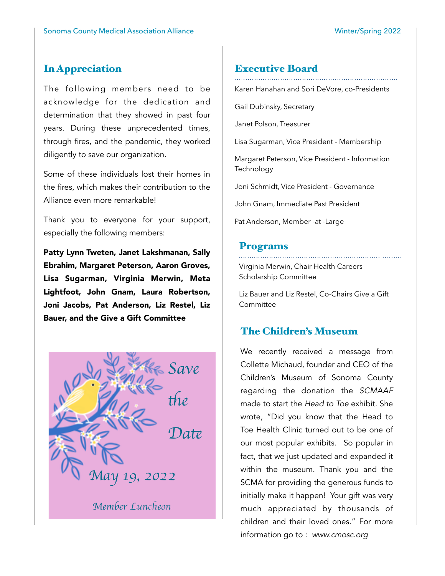# In Appreciation

The following members need to be acknowledge for the dedication and determination that they showed in past four years. During these unprecedented times, through fires, and the pandemic, they worked diligently to save our organization.

Some of these individuals lost their homes in the fires, which makes their contribution to the Alliance even more remarkable!

Thank you to everyone for your support, especially the following members:

Patty Lynn Tweten, Janet Lakshmanan, Sally Ebrahim, Margaret Peterson, Aaron Groves, Lisa Sugarman, Virginia Merwin, Meta Lightfoot, John Gnam, Laura Robertson, Joni Jacobs, Pat Anderson, Liz Restel, Liz Bauer, and the Give a Gift Committee



# Executive Board

Karen Hanahan and Sori DeVore, co-Presidents

Gail Dubinsky, Secretary

Janet Polson, Treasurer

Lisa Sugarman, Vice President - Membership

Margaret Peterson, Vice President - Information Technology

Joni Schmidt, Vice President - Governance

John Gnam, Immediate Past President

Pat Anderson, Member -at -Large

#### Programs

Virginia Merwin, Chair Health Careers Scholarship Committee

Liz Bauer and Liz Restel, Co-Chairs Give a Gift **Committee** 

### The Children's Museum

We recently received a message from Collette Michaud, founder and CEO of the Children's Museum of Sonoma County regarding the donation the *SCMAAF* made to start the *Head to Toe* exhibit. She wrote, "Did you know that the Head to Toe Health Clinic turned out to be one of our most popular exhibits. So popular in fact, that we just updated and expanded it within the museum. Thank you and the SCMA for providing the generous funds to initially make it happen! Your gift was very much appreciated by thousands of children and their loved ones." For more information go to : *www.cmosc.org*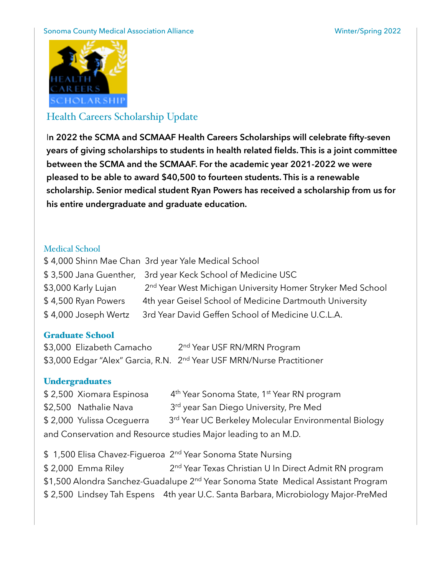#### Sonoma County Medical Association Alliance **Winter/Spring 2022**



# Health Careers Scholarship Update

I**n 2022 the SCMA and SCMAAF Health Careers Scholarships will celebrate fifty-seven years of giving scholarships to students in health related fields. This is a joint committee between the SCMA and the SCMAAF. For the academic year 2021-2022 we were pleased to be able to award \$40,500 to fourteen students. This is a renewable scholarship. Senior medical student Ryan Powers has received a scholarship from us for his entire undergraduate and graduate education.** 

### Medical School

\$ 4,000 Shinn Mae Chan 3rd year Yale Medical School \$ 3,500 Jana Guenther, 3rd year Keck School of Medicine USC \$3,000 Karly Lujan 2<sup>nd</sup> Year West Michigan University Homer Stryker Med School \$4,500 Ryan Powers 4th year Geisel School of Medicine Dartmouth University \$ 4,000 Joseph Wertz 3rd Year David Geffen School of Medicine U.C.L.A.

### Graduate School

\$3,000 Elizabeth Camacho 2<sup>nd</sup> Year USF RN/MRN Program \$3,000 Edgar "Alex" Garcia, R.N. 2<sup>nd</sup> Year USF MRN/Nurse Practitioner

### **Undergraduates**

| \$2,500 Xiomara Espinosa                                       |  | 4 <sup>th</sup> Year Sonoma State, 1 <sup>st</sup> Year RN program |  |
|----------------------------------------------------------------|--|--------------------------------------------------------------------|--|
| \$2,500 Nathalie Nava                                          |  | 3 <sup>rd</sup> year San Diego University, Pre Med                 |  |
| \$2,000 Yulissa Oceguerra                                      |  | 3 <sup>rd</sup> Year UC Berkeley Molecular Environmental Biology   |  |
| and Conservation and Resource studies Major leading to an M.D. |  |                                                                    |  |

\$ 1,500 Elisa Chavez-Figueroa 2<sup>nd</sup> Year Sonoma State Nursing \$ 2,000 Emma Riley 2<sup>nd</sup> Year Texas Christian U In Direct Admit RN program \$1,500 Alondra Sanchez-Guadalupe 2<sup>nd</sup> Year Sonoma State Medical Assistant Program \$ 2,500 Lindsey Tah Espens 4th year U.C. Santa Barbara, Microbiology Major-PreMed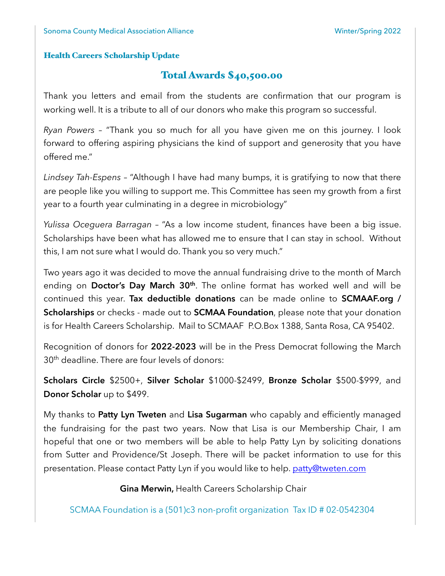#### Health Careers Scholarship Update

# Total Awards \$40,500.00

Thank you letters and email from the students are confirmation that our program is working well. It is a tribute to all of our donors who make this program so successful.

*Ryan Powers* – "Thank you so much for all you have given me on this journey. I look forward to offering aspiring physicians the kind of support and generosity that you have offered me."

*Lindsey Tah-Espens* – "Although I have had many bumps, it is gratifying to now that there are people like you willing to support me. This Committee has seen my growth from a first year to a fourth year culminating in a degree in microbiology"

*Yulissa Oceguera Barragan* – "As a low income student, finances have been a big issue. Scholarships have been what has allowed me to ensure that I can stay in school. Without this, I am not sure what I would do. Thank you so very much."

Two years ago it was decided to move the annual fundraising drive to the month of March ending on **Doctor's Day March 30<sup>th</sup>**. The online format has worked well and will be continued this year. **Tax deductible donations** can be made online to **SCMAAF.org / Scholarships** or checks - made out to **SCMAA Foundation**, please note that your donation is for Health Careers Scholarship. Mail to SCMAAF P.O.Box 1388, Santa Rosa, CA 95402.

Recognition of donors for **2022-2023** will be in the Press Democrat following the March 30<sup>th</sup> deadline. There are four levels of donors:

**Scholars Circle** \$2500+, **Silver Scholar** \$1000-\$2499, **Bronze Scholar** \$500-\$999, and **Donor Scholar** up to \$499.

My thanks to **Patty Lyn Tweten** and **Lisa Sugarman** who capably and efficiently managed the fundraising for the past two years. Now that Lisa is our Membership Chair, I am hopeful that one or two members will be able to help Patty Lyn by soliciting donations from Sutter and Providence/St Joseph. There will be packet information to use for this presentation. Please contact Patty Lyn if you would like to help. [patty@tweten.com](mailto:patty@tweten.com)

**Gina Merwin,** Health Careers Scholarship Chair

SCMAA Foundation is a (501)c3 non-profit organization Tax ID # 02-0542304